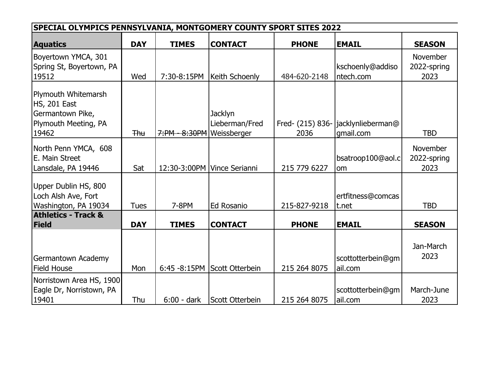|                                                                                                 | SPECIAL OLYMPICS PENNSYLVANIA, MONTGOMERY COUNTY SPORT SITES 2022 |                           |                                  |              |                                                 |                                |
|-------------------------------------------------------------------------------------------------|-------------------------------------------------------------------|---------------------------|----------------------------------|--------------|-------------------------------------------------|--------------------------------|
| <b>Aquatics</b>                                                                                 | <b>DAY</b>                                                        | <b>TIMES</b>              | <b>CONTACT</b>                   | <b>PHONE</b> | <b>EMAIL</b>                                    | <b>SEASON</b>                  |
| Boyertown YMCA, 301<br>Spring St, Boyertown, PA                                                 |                                                                   |                           |                                  |              | kschoenly@addiso                                | November<br>2022-spring        |
| 19512                                                                                           | Wed                                                               | 7:30-8:15PM               | Keith Schoenly                   | 484-620-2148 | ntech.com                                       | 2023                           |
| Plymouth Whitemarsh<br><b>HS, 201 East</b><br>Germantown Pike,<br>Plymouth Meeting, PA<br>19462 | <b>Thu</b>                                                        | 7:PM - 8:30PM Weissberger | <b>Jacklyn</b><br>Lieberman/Fred | 2036         | Fred- (215) 836- jacklynlieberman@<br>qmail.com | <b>TBD</b>                     |
|                                                                                                 |                                                                   |                           |                                  |              |                                                 |                                |
| North Penn YMCA, 608<br>E. Main Street                                                          |                                                                   |                           |                                  |              | bsatroop100@aol.c                               | <b>November</b><br>2022-spring |
| Lansdale, PA 19446                                                                              | Sat                                                               |                           | 12:30-3:00PM   Vince Serianni    | 215 779 6227 | om                                              | 2023                           |
| Upper Dublin HS, 800<br>Loch Alsh Ave, Fort                                                     |                                                                   |                           |                                  |              | ertfitness@comcas                               |                                |
| Washington, PA 19034                                                                            | <b>Tues</b>                                                       | 7-8PM                     | <b>Ed Rosanio</b>                | 215-827-9218 | t.net                                           | <b>TBD</b>                     |
| <b>Athletics - Track &amp;</b><br>Field                                                         | <b>DAY</b>                                                        | <b>TIMES</b>              | <b>CONTACT</b>                   | <b>PHONE</b> | <b>EMAIL</b>                                    | <b>SEASON</b>                  |
| Germantown Academy<br><b>Field House</b>                                                        | Mon                                                               |                           | 6:45 -8:15PM Scott Otterbein     | 215 264 8075 | scottotterbein@gm<br>ail.com                    | Jan-March<br>2023              |
| Norristown Area HS, 1900<br>Eagle Dr, Norristown, PA<br>19401                                   | Thu                                                               | 6:00 - dark               | Scott Otterbein                  | 215 264 8075 | scottotterbein@gm<br>ail.com                    | March-June<br>2023             |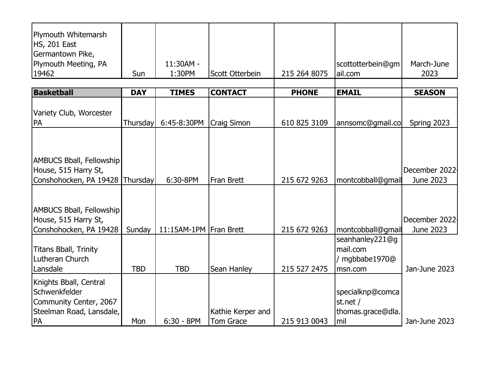|            |                                        |                                                            |                                                                                 |                                                          | March-June                                                                                 |
|------------|----------------------------------------|------------------------------------------------------------|---------------------------------------------------------------------------------|----------------------------------------------------------|--------------------------------------------------------------------------------------------|
|            |                                        |                                                            |                                                                                 |                                                          | 2023                                                                                       |
|            |                                        |                                                            |                                                                                 |                                                          |                                                                                            |
| <b>DAY</b> | <b>TIMES</b>                           | <b>CONTACT</b>                                             | <b>PHONE</b>                                                                    | <b>EMAIL</b>                                             | <b>SEASON</b>                                                                              |
|            |                                        |                                                            |                                                                                 |                                                          |                                                                                            |
|            |                                        |                                                            |                                                                                 |                                                          | Spring 2023                                                                                |
|            |                                        |                                                            |                                                                                 |                                                          |                                                                                            |
|            |                                        |                                                            |                                                                                 |                                                          | December 2022                                                                              |
|            |                                        |                                                            |                                                                                 |                                                          | June 2023                                                                                  |
|            |                                        |                                                            |                                                                                 |                                                          |                                                                                            |
|            |                                        |                                                            |                                                                                 |                                                          | December 2022                                                                              |
| Sunday     |                                        |                                                            | 215 672 9263                                                                    |                                                          | June 2023                                                                                  |
| <b>TBD</b> | <b>TBD</b>                             | Sean Hanley                                                | 215 527 2475                                                                    | seanhanley221@g<br>mail.com<br>/ mgbbabe1970@<br>msn.com | Jan-June 2023                                                                              |
| Mon        | $6:30 - 8PM$                           | Kathie Kerper and<br>Tom Grace                             | 215 913 0043                                                                    | specialknp@comca<br>st.net /<br>thomas.grace@dla.<br>mil | Jan-June 2023                                                                              |
|            | Sun<br>Conshohocken, PA 19428 Thursday | 11:30AM -<br>1:30PM<br>6:45-8:30PM<br>Thursday<br>6:30-8PM | Scott Otterbein<br><b>Craig Simon</b><br>Fran Brett<br>11:15AM-1PM   Fran Brett | 215 264 8075<br>610 825 3109<br>215 672 9263             | scottotterbein@gm<br>ail.com<br>annsomc@gmail.co<br>montcobball@gmail<br>montcobball@gmail |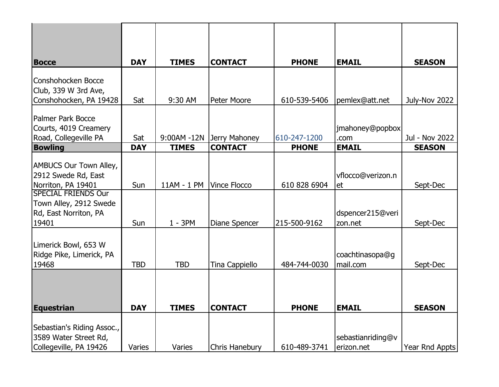| <b>Bocce</b>                                                                                             | <b>DAY</b> | <b>TIMES</b> | <b>CONTACT</b>            | <b>PHONE</b> | <b>EMAIL</b>                    | <b>SEASON</b>  |
|----------------------------------------------------------------------------------------------------------|------------|--------------|---------------------------|--------------|---------------------------------|----------------|
| Conshohocken Bocce<br>Club, 339 W 3rd Ave,<br>Conshohocken, PA 19428                                     | Sat        | 9:30 AM      | Peter Moore               | 610-539-5406 | pemlex@att.net                  | July-Nov 2022  |
| Palmer Park Bocce<br>Courts, 4019 Creamery<br>Road, Collegeville PA                                      | Sat        |              | 9:00AM -12N Jerry Mahoney | 610-247-1200 | jmahoney@popbox<br>.com         | Jul - Nov 2022 |
| <b>Bowling</b>                                                                                           | <b>DAY</b> | <b>TIMES</b> | <b>CONTACT</b>            | <b>PHONE</b> | <b>EMAIL</b>                    | <b>SEASON</b>  |
| <b>AMBUCS Our Town Alley,</b><br>2912 Swede Rd, East<br>Norriton, PA 19401<br><b>SPECIAL FRIENDS Our</b> | Sun        | 11AM - 1 PM  | <b>Vince Flocco</b>       | 610 828 6904 | vflocco@verizon.n<br>et         | Sept-Dec       |
| Town Alley, 2912 Swede<br>Rd, East Norriton, PA<br>19401                                                 | Sun        | $1 - 3PM$    | <b>Diane Spencer</b>      | 215-500-9162 | dspencer215@veri<br>zon.net     | Sept-Dec       |
| Limerick Bowl, 653 W<br>Ridge Pike, Limerick, PA<br>19468                                                | <b>TBD</b> | <b>TBD</b>   | Tina Cappiello            | 484-744-0030 | coachtinasopa@g<br>mail.com     | Sept-Dec       |
| Equestrian                                                                                               | <b>DAY</b> | <b>TIMES</b> | <b>CONTACT</b>            | <b>PHONE</b> | <b>EMAIL</b>                    | <b>SEASON</b>  |
| Sebastian's Riding Assoc.,<br>3589 Water Street Rd,<br>Collegeville, PA 19426                            | Varies     | Varies       | <b>Chris Hanebury</b>     | 610-489-3741 | sebastianriding@v<br>erizon.net | Year Rnd Appts |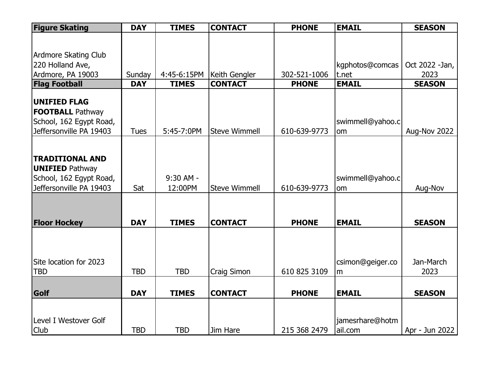| <b>Figure Skating</b>       | <b>DAY</b>  | <b>TIMES</b> | <b>CONTACT</b>       | <b>PHONE</b> | <b>EMAIL</b>     | <b>SEASON</b>   |
|-----------------------------|-------------|--------------|----------------------|--------------|------------------|-----------------|
|                             |             |              |                      |              |                  |                 |
|                             |             |              |                      |              |                  |                 |
| <b>Ardmore Skating Club</b> |             |              |                      |              |                  |                 |
| 220 Holland Ave,            |             |              |                      |              | kgphotos@comcas  | Oct 2022 - Jan, |
| Ardmore, PA 19003           | Sunday      | 4:45-6:15PM  | Keith Gengler        | 302-521-1006 | t.net            | 2023            |
| <b>Flag Football</b>        | <b>DAY</b>  | <b>TIMES</b> | <b>CONTACT</b>       | <b>PHONE</b> | <b>EMAIL</b>     | <b>SEASON</b>   |
| <b>UNIFIED FLAG</b>         |             |              |                      |              |                  |                 |
| <b>FOOTBALL Pathway</b>     |             |              |                      |              |                  |                 |
| School, 162 Egypt Road,     |             |              |                      |              | swimmell@yahoo.c |                 |
| Jeffersonville PA 19403     | <b>Tues</b> | 5:45-7:0PM   | <b>Steve Wimmell</b> | 610-639-9773 |                  |                 |
|                             |             |              |                      |              | om               | Aug-Nov 2022    |
|                             |             |              |                      |              |                  |                 |
| <b>TRADITIONAL AND</b>      |             |              |                      |              |                  |                 |
| <b>UNIFIED Pathway</b>      |             |              |                      |              |                  |                 |
| School, 162 Egypt Road,     |             | 9:30 AM -    |                      |              | swimmell@yahoo.c |                 |
| Jeffersonville PA 19403     | Sat         | 12:00PM      | <b>Steve Wimmell</b> | 610-639-9773 | <b>om</b>        | Aug-Nov         |
|                             |             |              |                      |              |                  |                 |
|                             |             |              |                      |              |                  |                 |
|                             |             |              |                      |              |                  |                 |
| <b>Floor Hockey</b>         | <b>DAY</b>  | <b>TIMES</b> | <b>CONTACT</b>       | <b>PHONE</b> | <b>EMAIL</b>     | <b>SEASON</b>   |
|                             |             |              |                      |              |                  |                 |
|                             |             |              |                      |              |                  |                 |
|                             |             |              |                      |              |                  |                 |
| Site location for 2023      |             |              |                      |              | csimon@geiger.co | Jan-March       |
| <b>TBD</b>                  | <b>TBD</b>  | <b>TBD</b>   | Craig Simon          | 610 825 3109 | m                | 2023            |
|                             |             |              |                      |              |                  |                 |
| Golf                        | <b>DAY</b>  | <b>TIMES</b> | <b>CONTACT</b>       | <b>PHONE</b> | <b>EMAIL</b>     | <b>SEASON</b>   |
|                             |             |              |                      |              |                  |                 |
|                             |             |              |                      |              |                  |                 |
| Level I Westover Golf       |             |              |                      |              | jamesrhare@hotm  |                 |
| Club                        | <b>TBD</b>  | <b>TBD</b>   | Jim Hare             | 215 368 2479 | ail.com          | Apr - Jun 2022  |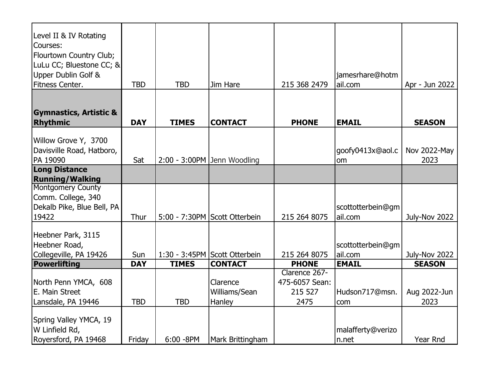| Level II & IV Rotating<br>Courses:<br>Flourtown Country Club;<br>LuLu CC; Bluestone CC; &<br>Upper Dublin Golf &<br>Fitness Center. | <b>TBD</b> | <b>TBD</b>    | Jim Hare                            | 215 368 2479                                       | jamesrhare@hotm<br>ail.com   | Apr - Jun 2022       |
|-------------------------------------------------------------------------------------------------------------------------------------|------------|---------------|-------------------------------------|----------------------------------------------------|------------------------------|----------------------|
| <b>Gymnastics, Artistic &amp;</b><br>Rhythmic                                                                                       | <b>DAY</b> | <b>TIMES</b>  | <b>CONTACT</b>                      | <b>PHONE</b>                                       | <b>EMAIL</b>                 | <b>SEASON</b>        |
| Willow Grove Y, 3700<br>Davisville Road, Hatboro,<br>PA 19090                                                                       | Sat        |               | $2:00 - 3:00$ PM Jenn Woodling      |                                                    | goofy0413x@aol.c<br>om       | Nov 2022-May<br>2023 |
| <b>Long Distance</b><br><b>Running/Walking</b>                                                                                      |            |               |                                     |                                                    |                              |                      |
| <b>Montgomery County</b><br>Comm. College, 340<br>Dekalb Pike, Blue Bell, PA<br>19422                                               | Thur       |               | 5:00 - 7:30PM Scott Otterbein       | 215 264 8075                                       | scottotterbein@gm<br>ail.com | July-Nov 2022        |
| Heebner Park, 3115<br>Heebner Road,<br>Collegeville, PA 19426                                                                       | Sun        |               | 1:30 - 3:45PM Scott Otterbein       | 215 264 8075                                       | scottotterbein@gm<br>ail.com | July-Nov 2022        |
| Powerlifting                                                                                                                        | <b>DAY</b> | <b>TIMES</b>  | <b>CONTACT</b>                      | <b>PHONE</b>                                       | <b>EMAIL</b>                 | <b>SEASON</b>        |
| North Penn YMCA, 608<br><b>IE. Main Street</b><br>Lansdale, PA 19446                                                                | <b>TBD</b> | <b>TBD</b>    | Clarence<br>Williams/Sean<br>Hanley | Clarence 267-<br>475-6057 Sean:<br>215 527<br>2475 | Hudson717@msn.<br>com        | Aug 2022-Jun<br>2023 |
| Spring Valley YMCA, 19<br>W Linfield Rd,<br>Royersford, PA 19468                                                                    | Friday     | $6:00 - 8$ PM | Mark Brittingham                    |                                                    | malafferty@verizo<br>n.net   | Year Rnd             |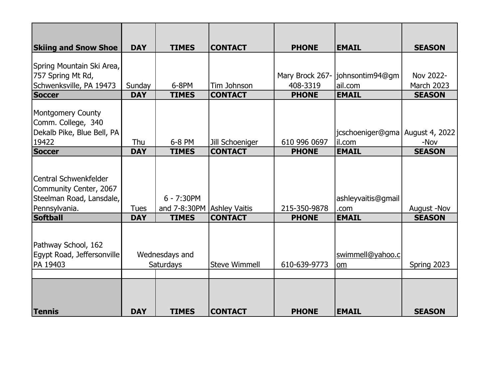| <b>Skiing and Snow Shoe</b>                                                                   | <b>DAY</b>  | <b>TIMES</b>                                 | <b>CONTACT</b>       | <b>PHONE</b>    | <b>EMAIL</b>                                | <b>SEASON</b>     |
|-----------------------------------------------------------------------------------------------|-------------|----------------------------------------------|----------------------|-----------------|---------------------------------------------|-------------------|
| Spring Mountain Ski Area,                                                                     |             |                                              |                      |                 |                                             |                   |
| 757 Spring Mt Rd,                                                                             |             |                                              |                      | Mary Brock 267- | johnsontim94@gm                             | Nov 2022-         |
| Schwenksville, PA 19473                                                                       | Sunday      | 6-8PM                                        | Tim Johnson          | 408-3319        | ail.com                                     | <b>March 2023</b> |
| Soccer                                                                                        | <b>DAY</b>  | <b>TIMES</b>                                 | <b>CONTACT</b>       | <b>PHONE</b>    | <b>EMAIL</b>                                | <b>SEASON</b>     |
| Montgomery County<br>Comm. College, 340<br>Dekalb Pike, Blue Bell, PA<br>19422                | Thu         | 6-8 PM                                       | Jill Schoeniger      | 610 996 0697    | jcschoeniger@gma   August 4, 2022<br>il.com | -Nov              |
| Soccer                                                                                        | <b>DAY</b>  | <b>TIMES</b>                                 | <b>CONTACT</b>       | <b>PHONE</b>    | <b>EMAIL</b>                                | <b>SEASON</b>     |
| lCentral Schwenkfelder<br>Community Center, 2067<br>Steelman Road, Lansdale,<br>Pennsylvania. | <b>Tues</b> | $6 - 7:30PM$<br>and 7-8:30PM   Ashley Vaitis |                      | 215-350-9878    | ashleyvaitis@gmail<br>.com                  | August -Nov       |
| <b>Softball</b>                                                                               | <b>DAY</b>  | <b>TIMES</b>                                 | <b>CONTACT</b>       | <b>PHONE</b>    | <b>EMAIL</b>                                | <b>SEASON</b>     |
| Pathway School, 162<br>Egypt Road, Jeffersonville<br>PA 19403                                 |             | Wednesdays and<br>Saturdays                  | <b>Steve Wimmell</b> | 610-639-9773    | swimmell@yahoo.c<br>om                      | Spring 2023       |
| Tennis                                                                                        | <b>DAY</b>  | <b>TIMES</b>                                 | <b>CONTACT</b>       | <b>PHONE</b>    | <b>EMAIL</b>                                | <b>SEASON</b>     |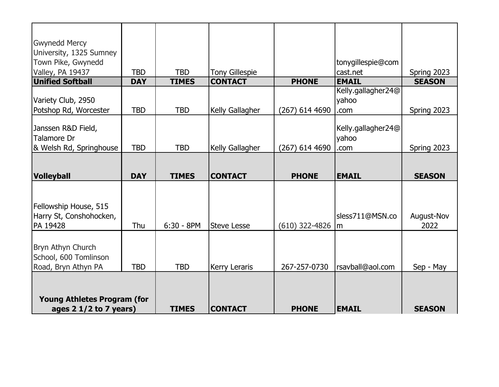| <b>Gwynedd Mercy</b><br>University, 1325 Sumney<br>Town Pike, Gwynedd<br>Valley, PA 19437<br>Unified Softball | <b>TBD</b> | <b>TBD</b>   | <b>Tony Gillespie</b> |                  | tonygillespie@com<br>cast.net       | Spring 2023        |
|---------------------------------------------------------------------------------------------------------------|------------|--------------|-----------------------|------------------|-------------------------------------|--------------------|
|                                                                                                               | <b>DAY</b> | <b>TIMES</b> | <b>CONTACT</b>        | <b>PHONE</b>     | <b>EMAIL</b><br>Kelly.gallagher24@  | <b>SEASON</b>      |
| Variety Club, 2950<br>Potshop Rd, Worcester                                                                   | <b>TBD</b> | <b>TBD</b>   | Kelly Gallagher       | $(267)$ 614 4690 | yahoo<br>.com                       | Spring 2023        |
| Janssen R&D Field,<br><b>Talamore Dr</b><br>& Welsh Rd, Springhouse                                           | <b>TBD</b> | <b>TBD</b>   | Kelly Gallagher       | $(267)$ 614 4690 | Kelly.gallagher24@<br>yahoo<br>.com | Spring 2023        |
| <b>Volleyball</b>                                                                                             | <b>DAY</b> | <b>TIMES</b> | <b>CONTACT</b>        | <b>PHONE</b>     | <b>EMAIL</b>                        | <b>SEASON</b>      |
| Fellowship House, 515<br>Harry St, Conshohocken,<br>PA 19428                                                  | Thu        | $6:30 - 8PM$ | <b>Steve Lesse</b>    | $(610)$ 322-4826 | sless711@MSN.co<br>$\mathsf{Im}$    | August-Nov<br>2022 |
| Bryn Athyn Church<br>School, 600 Tomlinson                                                                    |            |              |                       | 267-257-0730     | rsavball@aol.com                    | Sep - May          |
| Road, Bryn Athyn PA                                                                                           | <b>TBD</b> | <b>TBD</b>   | Kerry Leraris         |                  |                                     |                    |